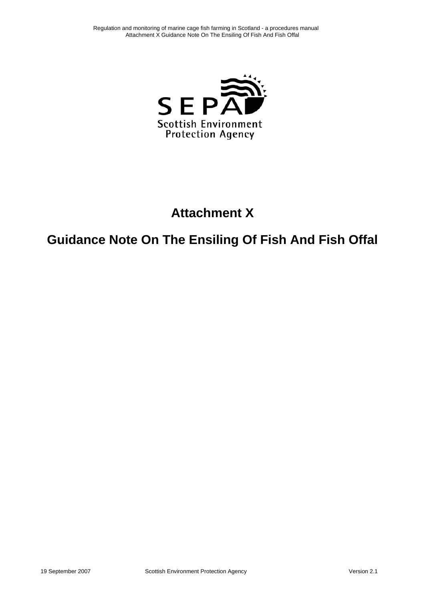

## **Attachment X**

# **Guidance Note On The Ensiling Of Fish And Fish Offal**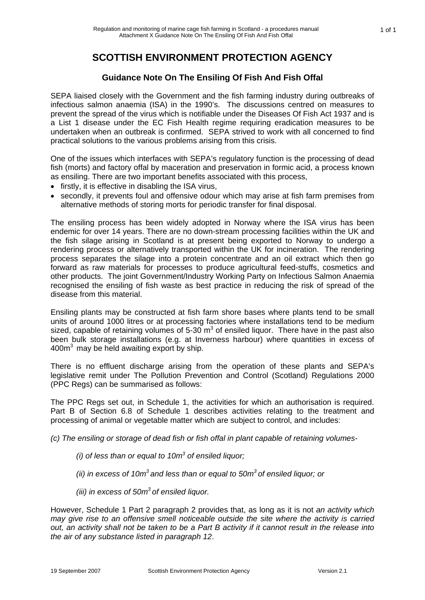### **SCOTTISH ENVIRONMENT PROTECTION AGENCY**

### **Guidance Note On The Ensiling Of Fish And Fish Offal**

SEPA liaised closely with the Government and the fish farming industry during outbreaks of infectious salmon anaemia (ISA) in the 1990's. The discussions centred on measures to prevent the spread of the virus which is notifiable under the Diseases Of Fish Act 1937 and is a List 1 disease under the EC Fish Health regime requiring eradication measures to be undertaken when an outbreak is confirmed. SEPA strived to work with all concerned to find practical solutions to the various problems arising from this crisis.

One of the issues which interfaces with SEPA's regulatory function is the processing of dead fish (morts) and factory offal by maceration and preservation in formic acid, a process known as ensiling. There are two important benefits associated with this process,

- firstly, it is effective in disabling the ISA virus,
- secondly, it prevents foul and offensive odour which may arise at fish farm premises from alternative methods of storing morts for periodic transfer for final disposal.

The ensiling process has been widely adopted in Norway where the ISA virus has been endemic for over 14 years. There are no down-stream processing facilities within the UK and the fish silage arising in Scotland is at present being exported to Norway to undergo a rendering process or alternatively transported within the UK for incineration. The rendering process separates the silage into a protein concentrate and an oil extract which then go forward as raw materials for processes to produce agricultural feed-stuffs, cosmetics and other products. The joint Government/Industry Working Party on Infectious Salmon Anaemia recognised the ensiling of fish waste as best practice in reducing the risk of spread of the disease from this material.

Ensiling plants may be constructed at fish farm shore bases where plants tend to be small units of around 1000 litres or at processing factories where installations tend to be medium sized, capable of retaining volumes of 5-30  $m^3$  of ensiled liquor. There have in the past also been bulk storage installations (e.g. at Inverness harbour) where quantities in excess of  $400m<sup>3</sup>$  may be held awaiting export by ship.

There is no effluent discharge arising from the operation of these plants and SEPA's legislative remit under The Pollution Prevention and Control (Scotland) Regulations 2000 (PPC Regs) can be summarised as follows:

The PPC Regs set out, in Schedule 1, the activities for which an authorisation is required. Part B of Section 6.8 of Schedule 1 describes activities relating to the treatment and processing of animal or vegetable matter which are subject to control, and includes:

*(c) The ensiling or storage of dead fish or fish offal in plant capable of retaining volumes-* 

- *(i) of less than or equal to 10m3 of ensiled liquor;*
- $(iii)$  in excess of 10 $m^3$  and less than or equal to 50 $m^3$  of ensiled liquor; or
- *(iii) in excess of 50m3 of ensiled liquor.*

However, Schedule 1 Part 2 paragraph 2 provides that, as long as it is not *an activity which may give rise to an offensive smell noticeable outside the site where the activity is carried out, an activity shall not be taken to be a Part B activity if it cannot result in the release into the air of any substance listed in paragraph 12*.